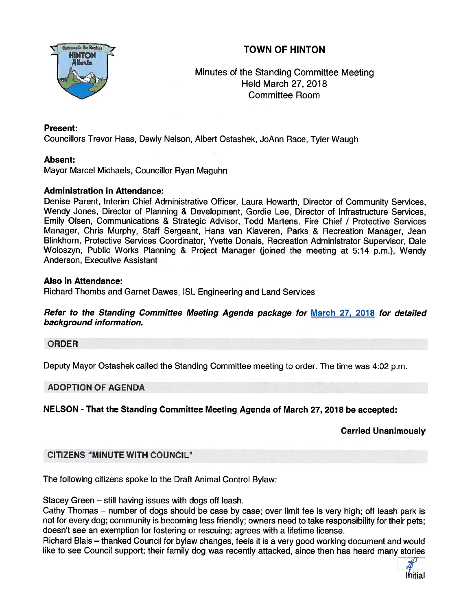# TOWN OF HINTON



Minutes of the Standing Committee Meeting Held March 27, 2018 Committee Room

## Present:

Councillors Trevor Haas, Dewly Nelson, Albert Ostashek, JoAnn Race, Tyler Waugh

## Absent:

Mayor Marcel Michaels, Councillor Ryan Maguhn

#### Administration in Attendance:

Denise Parent, Interim Chief Administrative Officer, Laura Howarth, Director of Community Services, Wendy Jones, Director of Planning & Development, Gordie Lee, Director of Infrastructure Services, Emily Olsen, Communications & Strategic Advisor, Todd Martens, Fire Chief / Protective Services Manager, Chris Murphy, Staff Sergeant, Hans van Klaveren, Parks & Recreation Manager, Jean BUn khorn, Protective Services Coordinator, Yvette Donais, Recreation Administrator Supervisor, Dale Woloszyn, Public Works Planning & Project Manager (joined the meeting at 5:14 p.m.), Wendy Anderson, Executive Assistant

#### Also in Attendance:

Richard Thombs and Garnet Dawes, ISL Engineering and Land Services

Refer to the Standing Committee Meeting Agenda package for March 27, 2018 for detailed background information.

#### ORDER

Deputy Mayor Ostashek called the Standing Committee meeting to order. The time was 4:02 p.m.

# ADOPTION OF AGENDA

NELSON - That the Standing Committee Meeting Agenda of March 27, 2018 be accepted:

# Carried Unanimously

# CITIZENS "MINUTE WITH COUNCIL"

The following citizens spoke to the Draft Animal Control Bylaw:

Stacey Green — still having issues with dogs off leash.

Cathy Thomas — number of dogs should be case by case; over limit fee is very high; off leash park is not for every dog; community is becoming less friendly; owners need to take responsibility for their pets; doesn't see an exemption for fostering or rescuing; agrees with <sup>a</sup> lifetime license.

Richard Blais — thanked Council for bylaw changes, feels it is <sup>a</sup> very good working document and would like to see Council support; their family dog was recently attacked, since then has heard many stories

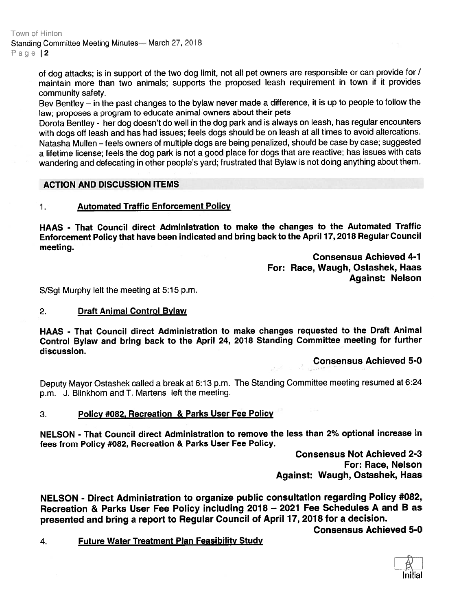Town of Hinton Standing Committee Meeting Minutes— March 27, 2018 Page 12

> of dog attacks; is in suppor<sup>t</sup> of the two dog limit, not all pe<sup>t</sup> owners are responsible or can provide for / maintain more than two animals; supports the propose<sup>d</sup> leash requirement in town if it provides community safety.

> Bev Bentley — in the pas<sup>t</sup> changes to the bylaw never made <sup>a</sup> ditference, it is up to people to follow the law; proposes <sup>a</sup> program to educate animal owners about their pets

> Dorota Bentley - her dog doesn't do well in the dog par<sup>k</sup> and is always on leash, has regular encounters with dogs off leash and has had issues; feels dogs should be on leash at all times to avoid altercations. Natasha Mullen — feels owners of multiple dogs are being penalized, should be case by case; suggested <sup>a</sup> lifetime license; feels the dog par<sup>k</sup> is not <sup>a</sup> goo<sup>d</sup> <sup>p</sup>lace for dogs that are reactive; has issues with cats wandering and defecating in other people's yard; frustrated that Bylaw is not doing anything about them.

#### ACTION AND DISCUSSION ITEMS

## 1. Automated Traffic Enforcement Policy

HAAS - That Council direct Administration to make the changes to the Automated Traffic Enforcement Policy that have been indicated and bring back to the April 17, <sup>2018</sup> Regular Council meeting.

> Consensus Achieved 4-1 For: Race, Waugh, Ostashek, Haas Against: Nelson

S/Sgt Murphy left the meeting at 5:15 p.m.

#### 2. Draft Animal Control Bylaw

HAAS - That Council direct Administration to make changes requested to the Draft Animal Control Bylaw and bring back to the April 24, <sup>2018</sup> Standing Committee meeting for further discussion.

#### Consensus Achieved 5-0

Deputy Mayor Ostashek called <sup>a</sup> break at 6:13 p.m. The Standing Committee meeting resumed at 6:24 p.m. J. Blinkhorn and T. Martens left the meeting.

3. Policy #082, Recreation & Parks User Fee Policy

NELSON - That Council direct Administration to remove the less than 2% optional increase in fees from Policy #082, Recreation & Parks User Fee Policy.

> Consensus Not Achieved 2-3 For: Race, Nelson Against: Waugh, Ostashek, Haas

NELSON - Direct Administration to organize public consultation regarding Policy #082, Recreation & Parks User Fee Policy including <sup>2018</sup> — <sup>2021</sup> Fee Schedules <sup>A</sup> and <sup>B</sup> as presented and bring <sup>a</sup> repor<sup>t</sup> to Regular Council of April 17, <sup>2018</sup> for <sup>a</sup> decision.

Consensus Achieved 5-0

4. Future Water Treatment Plan Feasibility Study

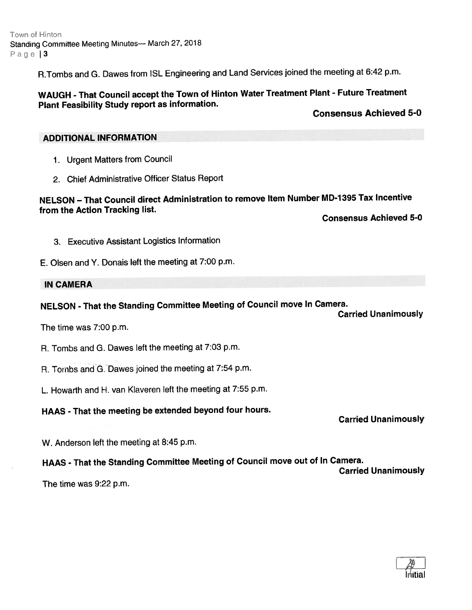Town of Hinton Standing Committee Meeting Minutes— March 27, 2018 Page 3

R.Tombs and G. Dawes from ISL Engineering and Land Services joined the meeting at 6:42 p.m.

# WAUGH - That Council accep<sup>t</sup> the Town of Hinton Water Treatment Plant - Future Treatment Plant Feasibility Study repor<sup>t</sup> as information.

#### Consensus Achieved 5-0

#### ADDITIONAL INFORMATION

- 1. Urgent Matters from Council
- 2. Chief Administrative Officer Status Report

# NELSON — That Council direct Administration to remove Item Number MD-i <sup>395</sup> Tax Incentive from the Action Tracking list.

Consensus Achieved 5-0

- 3. Executive Assistant Logistics Information
- E. Olsen and Y. Donais left the meeting at 7:00 p.m.

#### **IN CAMERA**

#### NELSON - That the Standing Committee Meeting of Council move In Camera. Carried Unanimously

The time was 7:00 p.m.

R. Tombs and G. Dawes left the meeting at 7:03 p.m.

- R. Tombs and G. Dawes joined the meeting at 7:54 p.m.
- L. Howarth and H. van Klaveren left the meeting at 7:55 p.m.

## HAAS - That the meeting be extended beyond four hours.

Carried Unanimously

W. Anderson left the meeting at 8:45 p.m.

# HAAS - That the Standing Committee Meeting of Council move out of In Camera.

Carried Unanimously

The time was 9:22 p.m.